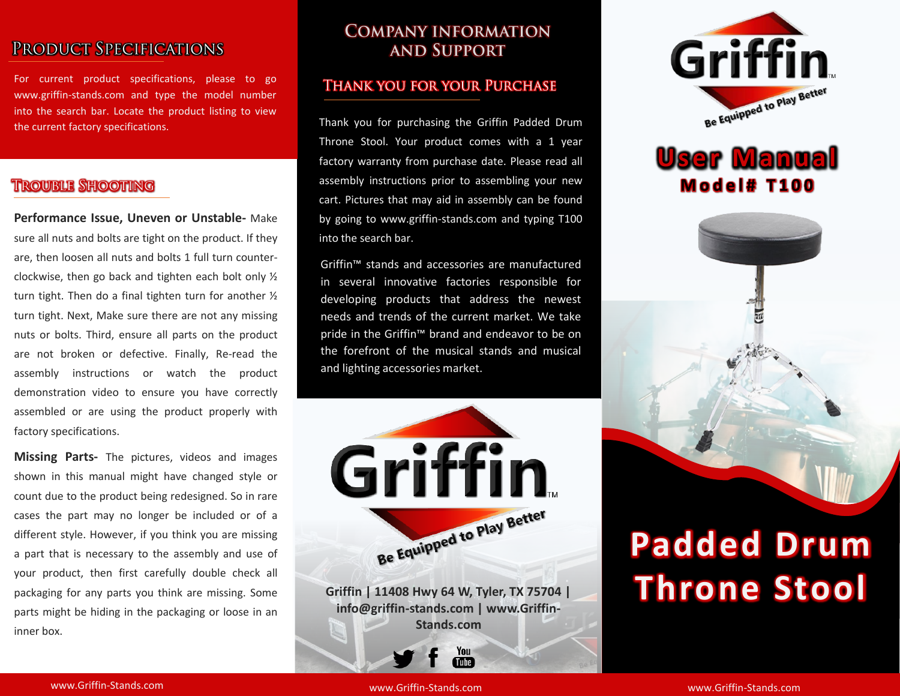# PRODUCT SPECIFICATIONS

For current product specifications, please to go www.griffin-stands.com and type the model number into the search bar. Locate the product listing to view the current factory specifications.

## **TROUBLE SHOOTING**

**Performance Issue, Uneven or Unstable-** Make sure all nuts and bolts are tight on the product. If they are, then loosen all nuts and bolts 1 full turn counterclockwise, then go back and tighten each bolt only ½ turn tight. Then do a final tighten turn for another ½ turn tight. Next, Make sure there are not any missing nuts or bolts. Third, ensure all parts on the product are not broken or defective. Finally, Re-read the assembly instructions or watch the product demonstration video to ensure you have correctly assembled or are using the product properly with factory specifications.

**Missing Parts-** The pictures, videos and images shown in this manual might have changed style or count due to the product being redesigned. So in rare cases the part may no longer be included or of a different style. However, if you think you are missing a part that is necessary to the assembly and use of your product, then first carefully double check all packaging for any parts you think are missing. Some parts might be hiding in the packaging or loose in an inner box.

## **COMPANY INFORMATION AND SUPPORT**

#### **THANK YOU FOR YOUR PURCHASE**

Thank you for purchasing the Griffin Padded Drum Throne Stool. Your product comes with a 1 year factory warranty from purchase date. Please read all assembly instructions prior to assembling your new cart. Pictures that may aid in assembly can be found by going to www.griffin-stands.com and typing T100 into the search bar.

Griffin™ stands and accessories are manufactured in several innovative factories responsible for developing products that address the newest needs and trends of the current market. We take pride in the Griffin<sup>™</sup> brand and endeavor to be on the forefront of the musical stands and musical and lighting accessories market.



**info@griffin-stands.com | www.Griffin-Stands.com**

> You **Tube**



# **User Manual M o d e l # T 1 0 0**



# **Padded Drum Throne Stool**